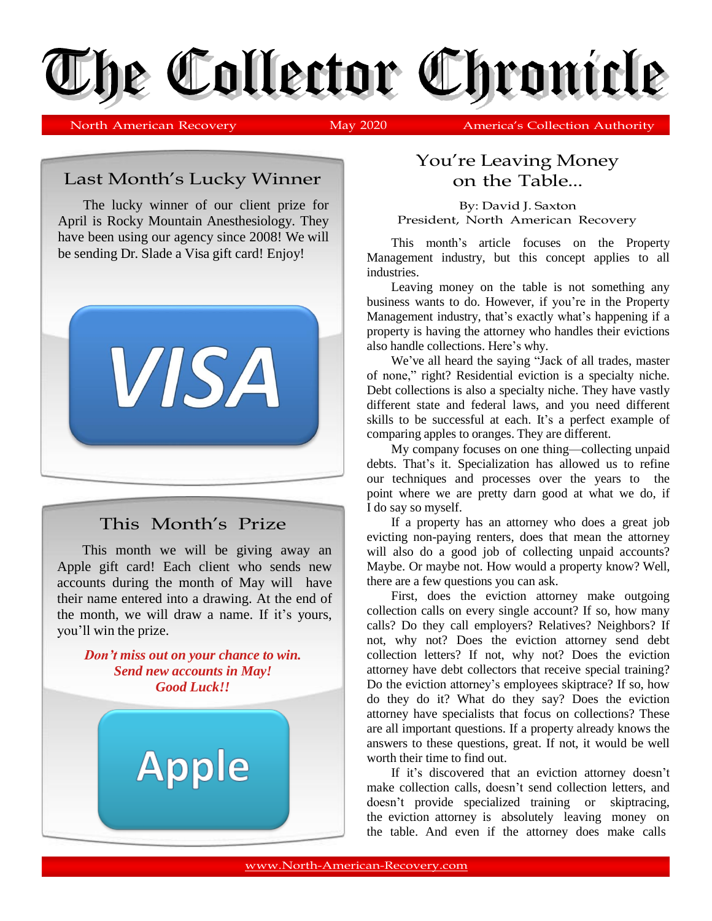

North American Recovery May 2020 America's Collection Authority

Last Month's Lucky Winner

The lucky winner of our client prize for April is Rocky Mountain Anesthesiology. They have been using our agency since 2008! We will be sending Dr. Slade a Visa gift card! Enjoy!



## This Month's Prize

This month we will be giving away an Apple gift card! Each client who sends new accounts during the month of May will have their name entered into a drawing. At the end of the month, we will draw a name. If it's yours, you'll win the prize.

*Don't miss out on your chance to win. Send new accounts in May! Good Luck!!*

Apple

## You're Leaving Money on the Table...

By: David J. Saxton President, North American Recovery

This month's article focuses on the Property Management industry, but this concept applies to all industries.

Leaving money on the table is not something any business wants to do. However, if you're in the Property Management industry, that's exactly what's happening if a property is having the attorney who handles their evictions also handle collections. Here's why.

We've all heard the saying "Jack of all trades, master of none," right? Residential eviction is a specialty niche. Debt collections is also a specialty niche. They have vastly different state and federal laws, and you need different skills to be successful at each. It's a perfect example of comparing apples to oranges. They are different.

My company focuses on one thing—collecting unpaid debts. That's it. Specialization has allowed us to refine our techniques and processes over the years to the point where we are pretty darn good at what we do, if I do say so myself.

If a property has an attorney who does a great job evicting non-paying renters, does that mean the attorney will also do a good job of collecting unpaid accounts? Maybe. Or maybe not. How would a property know? Well, there are a few questions you can ask.

First, does the eviction attorney make outgoing collection calls on every single account? If so, how many calls? Do they call employers? Relatives? Neighbors? If not, why not? Does the eviction attorney send debt collection letters? If not, why not? Does the eviction attorney have debt collectors that receive special training? Do the eviction attorney's employees skiptrace? If so, how do they do it? What do they say? Does the eviction attorney have specialists that focus on collections? These are all important questions. If a property already knows the answers to these questions, great. If not, it would be well worth their time to find out.

If it's discovered that an eviction attorney doesn't make collection calls, doesn't send collection letters, and doesn't provide specialized training or skiptracing, the eviction attorney is absolutely leaving money on the table. And even if the attorney does make calls